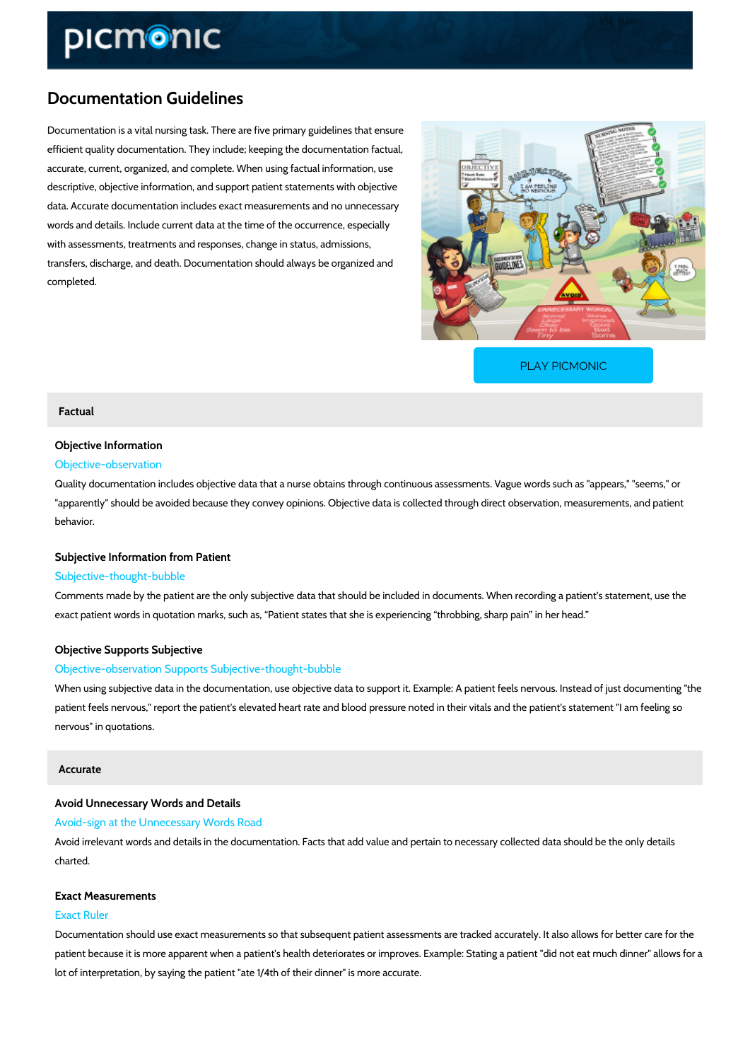# Documentation Guidelines

Documentation is a vital nursing task. There are five primary guidelines that ensure efficient quality documentation. They include; keeping the documentation factual, accurate, current, organized, and complete. When using factual information, use descriptive, objective information, and support patient statements with objective data. Accurate documentation includes exact measurements and no unnecessary words and details. Include current data at the time of the occurrence, especially with assessments, treatments and responses, change in status, admissions, transfers, discharge, and death. Documentation should always be organized and completed.

[PLAY PICMONIC](https://www.picmonic.com/learn/documentation-guidelines_10931?utm_source=downloadable_content&utm_medium=distributedcontent&utm_campaign=pathways_pdf&utm_content=Documentation Guidelines&utm_ad_group=leads&utm_market=all)

# Factual

# Objective Information

# Objective-observation

Quality documentation includes objective data that a nurse obtains through continuous assess "apparently" should be avoided because they convey opinions. Objective data is collected thro behavior.

# Subjective Information from Patient

## Subjective-thought-bubble

Comments made by the patient are the only subjective data that should be included in docume exact patient words in quotation marks, such as, Patient states that she is experiencing thro

## Objective Supports Subjective

# Objective-observation Supports Subjective-thought-bubble

When using subjective data in the documentation, use objective data to support it. Example:  $P$ patient feels nervous," report the patient's elevated heart rate and blood pressure noted in th nervous" in quotations.

# Accurate

# Avoid Unnecessary Words and Details

### Avoid-sign at the Unnecessary Words Road

Avoid irrelevant words and details in the documentation. Facts that add value and pertain to r charted.

# Exact Measurements

# Exact Ruler

Documentation should use exact measurements so that subsequent patient assessments are tr patient because it is more apparent when a patient's health deteriorates or improves. Example lot of interpretation, by saying the patient "ate 1/4th of their dinner" is more accurate.